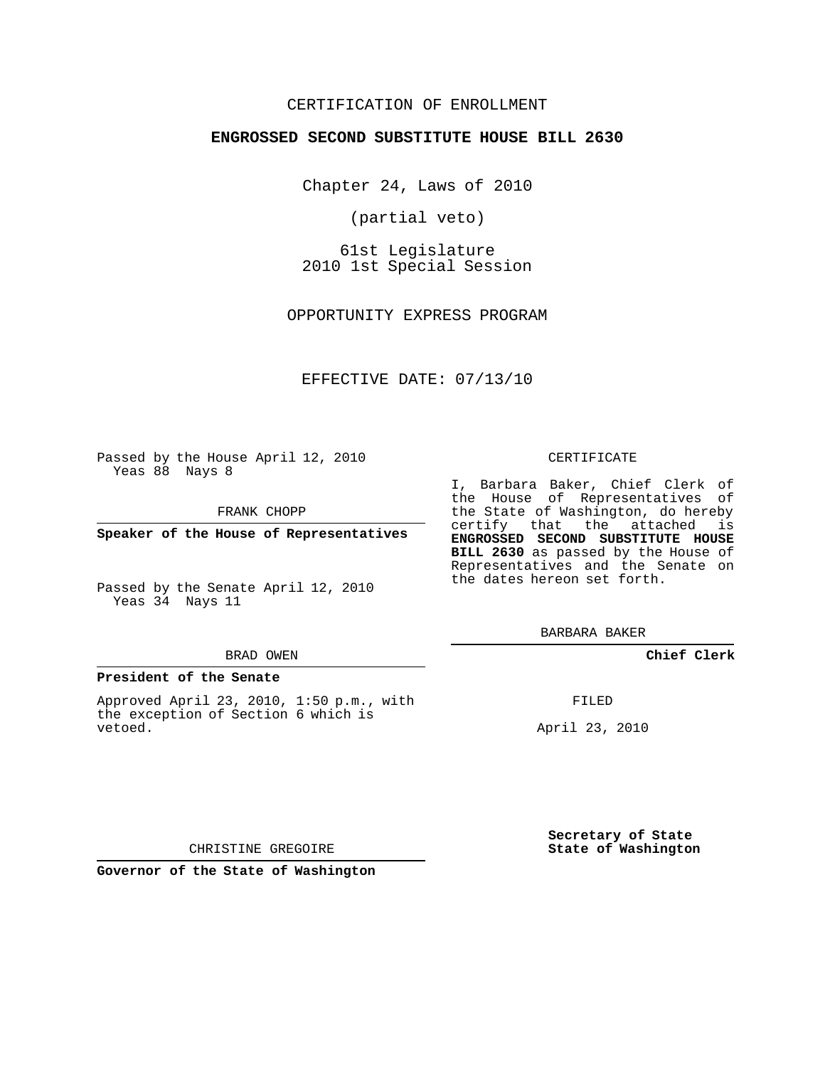# CERTIFICATION OF ENROLLMENT

## **ENGROSSED SECOND SUBSTITUTE HOUSE BILL 2630**

Chapter 24, Laws of 2010

(partial veto)

61st Legislature 2010 1st Special Session

OPPORTUNITY EXPRESS PROGRAM

EFFECTIVE DATE: 07/13/10

Passed by the House April 12, 2010 Yeas 88 Nays 8

FRANK CHOPP

**Speaker of the House of Representatives**

Yeas 34 Nays 11

#### BRAD OWEN

#### **President of the Senate**

Approved April 23, 2010, 1:50 p.m., with the exception of Section 6 which is vetoed.

#### CERTIFICATE

I, Barbara Baker, Chief Clerk of the House of Representatives of the State of Washington, do hereby certify that the attached is **ENGROSSED SECOND SUBSTITUTE HOUSE BILL 2630** as passed by the House of Representatives and the Senate on the dates hereon set forth.

BARBARA BAKER

**Chief Clerk**

FILED

April 23, 2010

**Secretary of State State of Washington**

CHRISTINE GREGOIRE

**Governor of the State of Washington**

Passed by the Senate April 12, 2010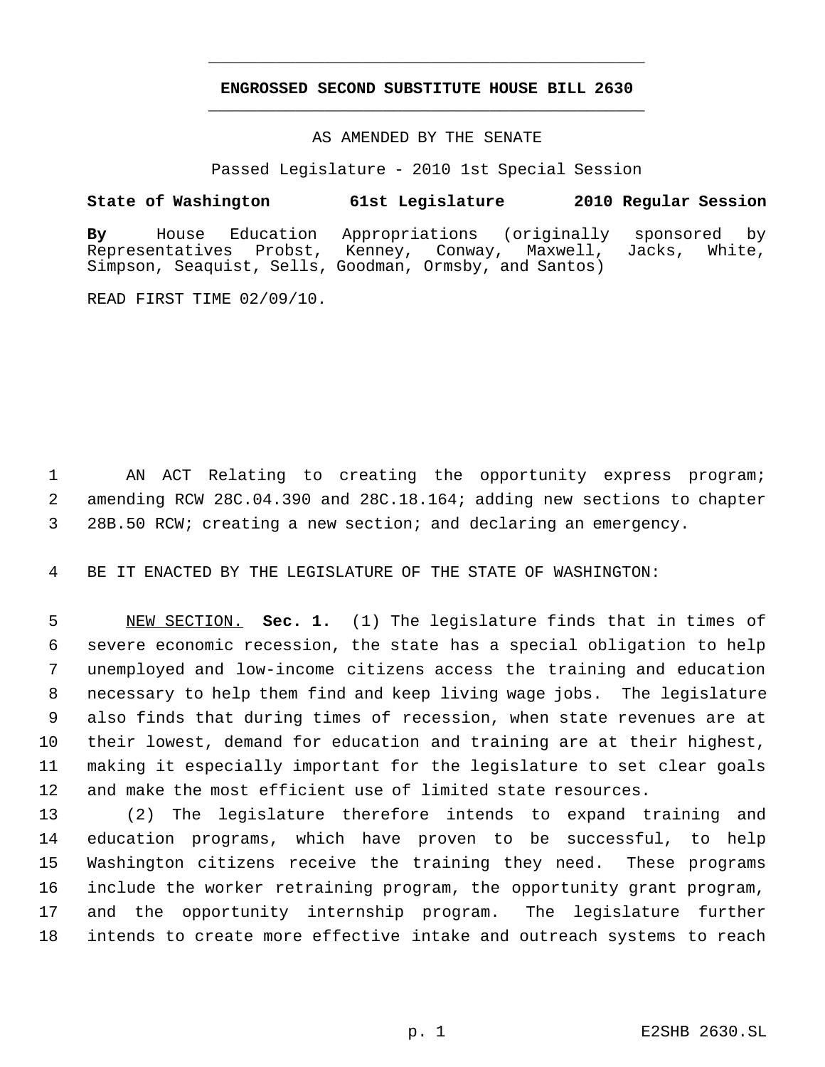# **ENGROSSED SECOND SUBSTITUTE HOUSE BILL 2630** \_\_\_\_\_\_\_\_\_\_\_\_\_\_\_\_\_\_\_\_\_\_\_\_\_\_\_\_\_\_\_\_\_\_\_\_\_\_\_\_\_\_\_\_\_

\_\_\_\_\_\_\_\_\_\_\_\_\_\_\_\_\_\_\_\_\_\_\_\_\_\_\_\_\_\_\_\_\_\_\_\_\_\_\_\_\_\_\_\_\_

## AS AMENDED BY THE SENATE

Passed Legislature - 2010 1st Special Session

# **State of Washington 61st Legislature 2010 Regular Session**

**By** House Education Appropriations (originally sponsored by Probst, Kenney, Conway, Maxwell, Jacks, White, Simpson, Seaquist, Sells, Goodman, Ormsby, and Santos)

READ FIRST TIME 02/09/10.

 AN ACT Relating to creating the opportunity express program; amending RCW 28C.04.390 and 28C.18.164; adding new sections to chapter 28B.50 RCW; creating a new section; and declaring an emergency.

BE IT ENACTED BY THE LEGISLATURE OF THE STATE OF WASHINGTON:

 NEW SECTION. **Sec. 1.** (1) The legislature finds that in times of severe economic recession, the state has a special obligation to help unemployed and low-income citizens access the training and education necessary to help them find and keep living wage jobs. The legislature also finds that during times of recession, when state revenues are at their lowest, demand for education and training are at their highest, making it especially important for the legislature to set clear goals and make the most efficient use of limited state resources.

 (2) The legislature therefore intends to expand training and education programs, which have proven to be successful, to help Washington citizens receive the training they need. These programs include the worker retraining program, the opportunity grant program, and the opportunity internship program. The legislature further intends to create more effective intake and outreach systems to reach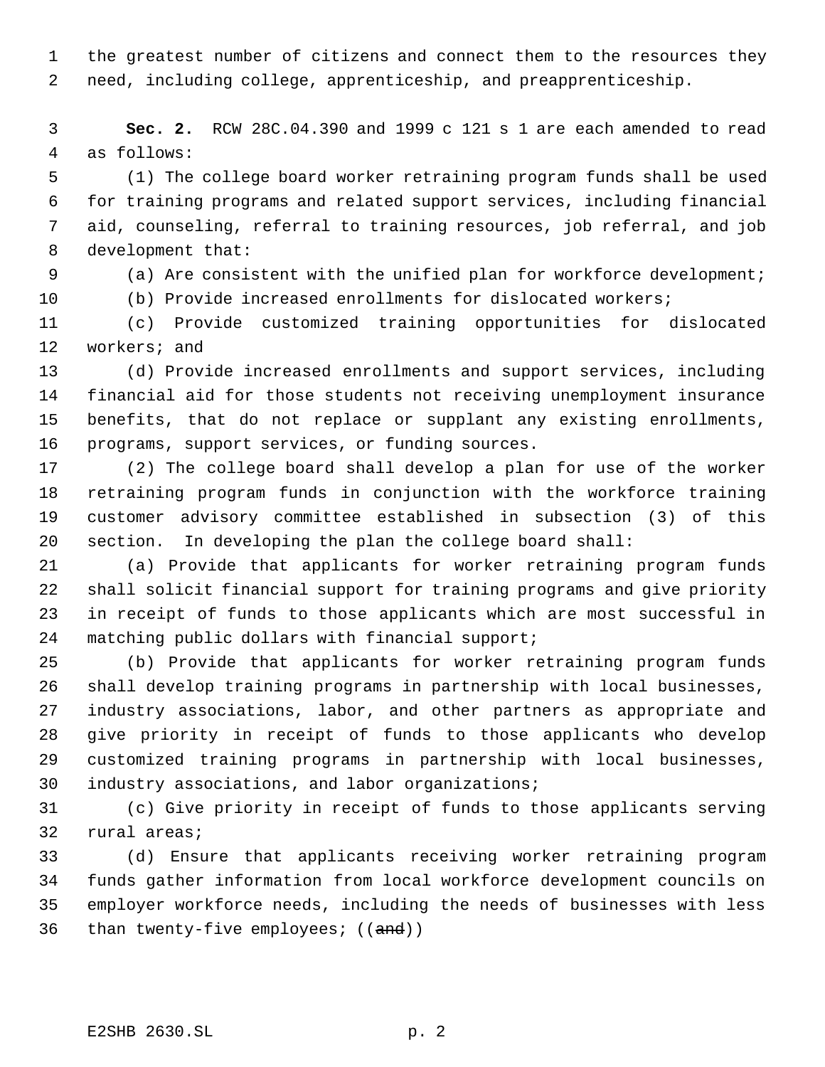the greatest number of citizens and connect them to the resources they need, including college, apprenticeship, and preapprenticeship.

 **Sec. 2.** RCW 28C.04.390 and 1999 c 121 s 1 are each amended to read as follows:

 (1) The college board worker retraining program funds shall be used for training programs and related support services, including financial aid, counseling, referral to training resources, job referral, and job development that:

(a) Are consistent with the unified plan for workforce development;

(b) Provide increased enrollments for dislocated workers;

 (c) Provide customized training opportunities for dislocated workers; and

 (d) Provide increased enrollments and support services, including financial aid for those students not receiving unemployment insurance benefits, that do not replace or supplant any existing enrollments, programs, support services, or funding sources.

 (2) The college board shall develop a plan for use of the worker retraining program funds in conjunction with the workforce training customer advisory committee established in subsection (3) of this section. In developing the plan the college board shall:

 (a) Provide that applicants for worker retraining program funds shall solicit financial support for training programs and give priority in receipt of funds to those applicants which are most successful in matching public dollars with financial support;

 (b) Provide that applicants for worker retraining program funds shall develop training programs in partnership with local businesses, industry associations, labor, and other partners as appropriate and give priority in receipt of funds to those applicants who develop customized training programs in partnership with local businesses, industry associations, and labor organizations;

 (c) Give priority in receipt of funds to those applicants serving rural areas;

 (d) Ensure that applicants receiving worker retraining program funds gather information from local workforce development councils on employer workforce needs, including the needs of businesses with less 36 than twenty-five employees;  $((and))$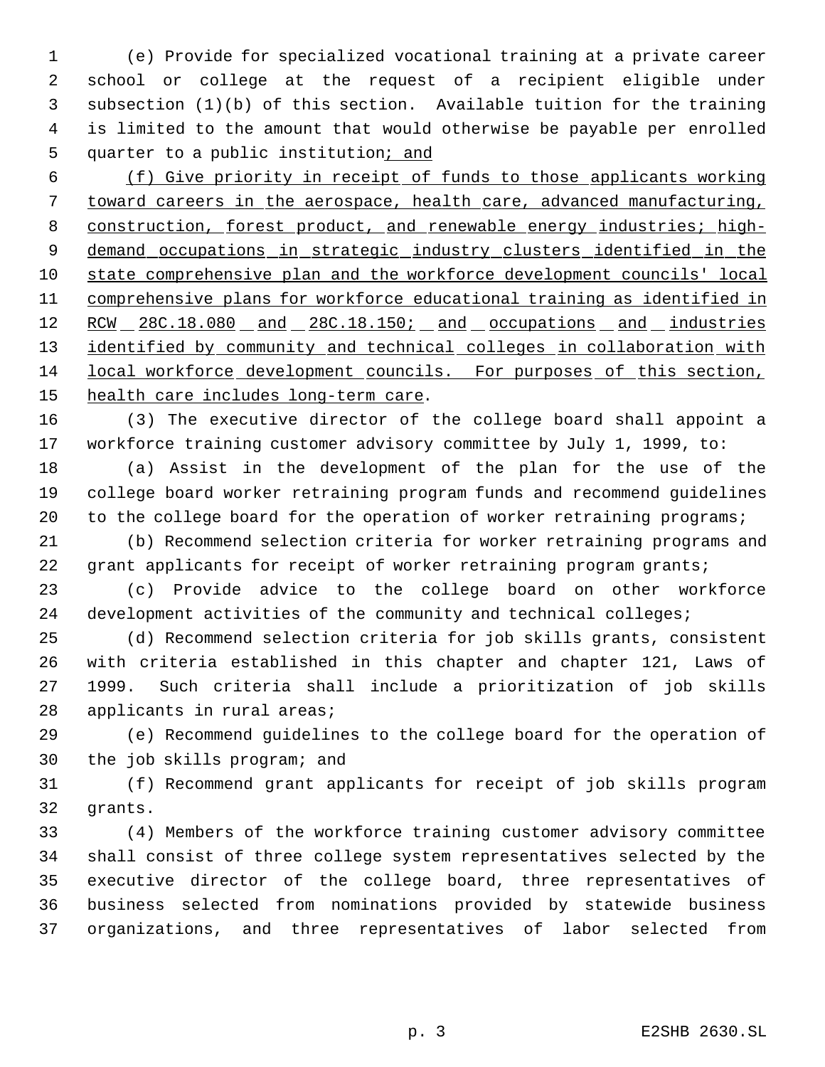(e) Provide for specialized vocational training at a private career school or college at the request of a recipient eligible under subsection (1)(b) of this section. Available tuition for the training is limited to the amount that would otherwise be payable per enrolled 5 quarter to a public institution; and

 (f) Give priority in receipt of funds to those applicants working toward careers in the aerospace, health care, advanced manufacturing, 8 construction, forest product, and renewable energy industries; high-9 demand occupations in strategic industry clusters identified in the state comprehensive plan and the workforce development councils' local comprehensive plans for workforce educational training as identified in 12 RCW 28C.18.080 and 28C.18.150; and occupations and industries 13 identified by community and technical colleges in collaboration with local workforce development councils. For purposes of this section, 15 health care includes long-term care.

 (3) The executive director of the college board shall appoint a workforce training customer advisory committee by July 1, 1999, to:

 (a) Assist in the development of the plan for the use of the college board worker retraining program funds and recommend guidelines 20 to the college board for the operation of worker retraining programs;

 (b) Recommend selection criteria for worker retraining programs and 22 grant applicants for receipt of worker retraining program grants;

 (c) Provide advice to the college board on other workforce 24 development activities of the community and technical colleges;

 (d) Recommend selection criteria for job skills grants, consistent with criteria established in this chapter and chapter 121, Laws of 1999. Such criteria shall include a prioritization of job skills applicants in rural areas;

 (e) Recommend guidelines to the college board for the operation of the job skills program; and

 (f) Recommend grant applicants for receipt of job skills program grants.

 (4) Members of the workforce training customer advisory committee shall consist of three college system representatives selected by the executive director of the college board, three representatives of business selected from nominations provided by statewide business organizations, and three representatives of labor selected from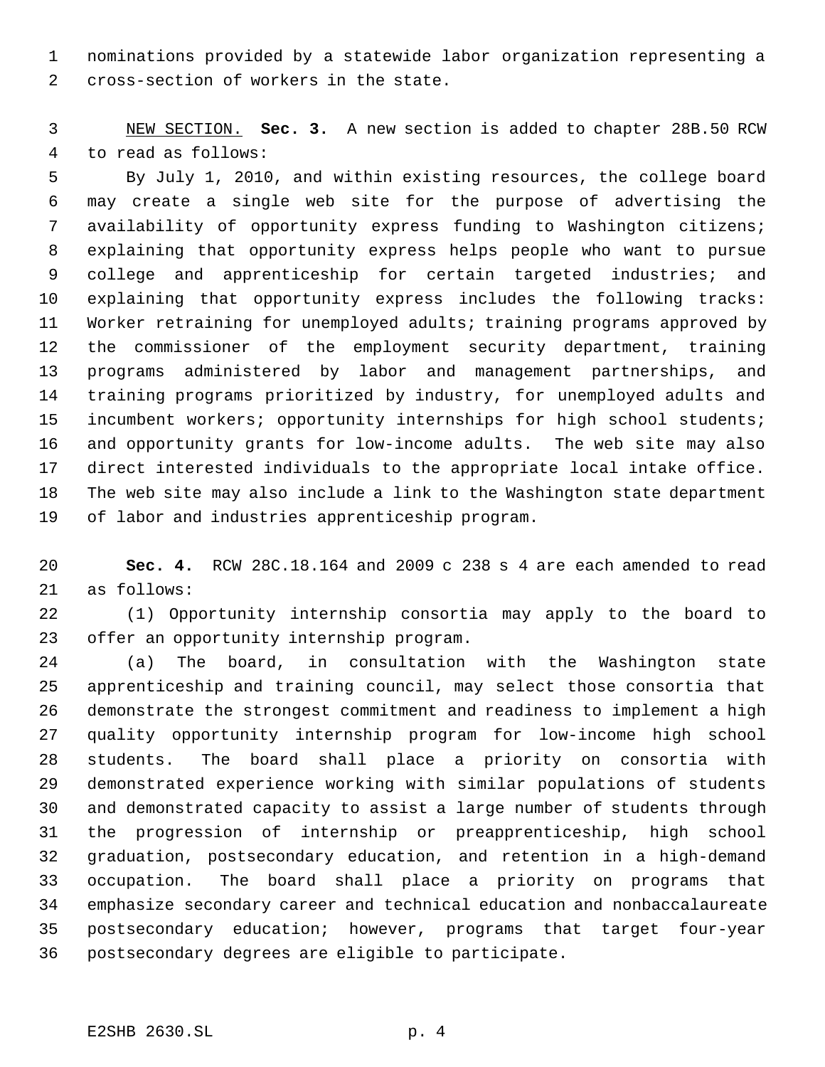nominations provided by a statewide labor organization representing a cross-section of workers in the state.

 NEW SECTION. **Sec. 3.** A new section is added to chapter 28B.50 RCW to read as follows:

 By July 1, 2010, and within existing resources, the college board may create a single web site for the purpose of advertising the availability of opportunity express funding to Washington citizens; explaining that opportunity express helps people who want to pursue college and apprenticeship for certain targeted industries; and explaining that opportunity express includes the following tracks: Worker retraining for unemployed adults; training programs approved by the commissioner of the employment security department, training programs administered by labor and management partnerships, and training programs prioritized by industry, for unemployed adults and incumbent workers; opportunity internships for high school students; and opportunity grants for low-income adults. The web site may also direct interested individuals to the appropriate local intake office. The web site may also include a link to the Washington state department of labor and industries apprenticeship program.

 **Sec. 4.** RCW 28C.18.164 and 2009 c 238 s 4 are each amended to read as follows:

 (1) Opportunity internship consortia may apply to the board to offer an opportunity internship program.

 (a) The board, in consultation with the Washington state apprenticeship and training council, may select those consortia that demonstrate the strongest commitment and readiness to implement a high quality opportunity internship program for low-income high school students. The board shall place a priority on consortia with demonstrated experience working with similar populations of students and demonstrated capacity to assist a large number of students through the progression of internship or preapprenticeship, high school graduation, postsecondary education, and retention in a high-demand occupation. The board shall place a priority on programs that emphasize secondary career and technical education and nonbaccalaureate postsecondary education; however, programs that target four-year postsecondary degrees are eligible to participate.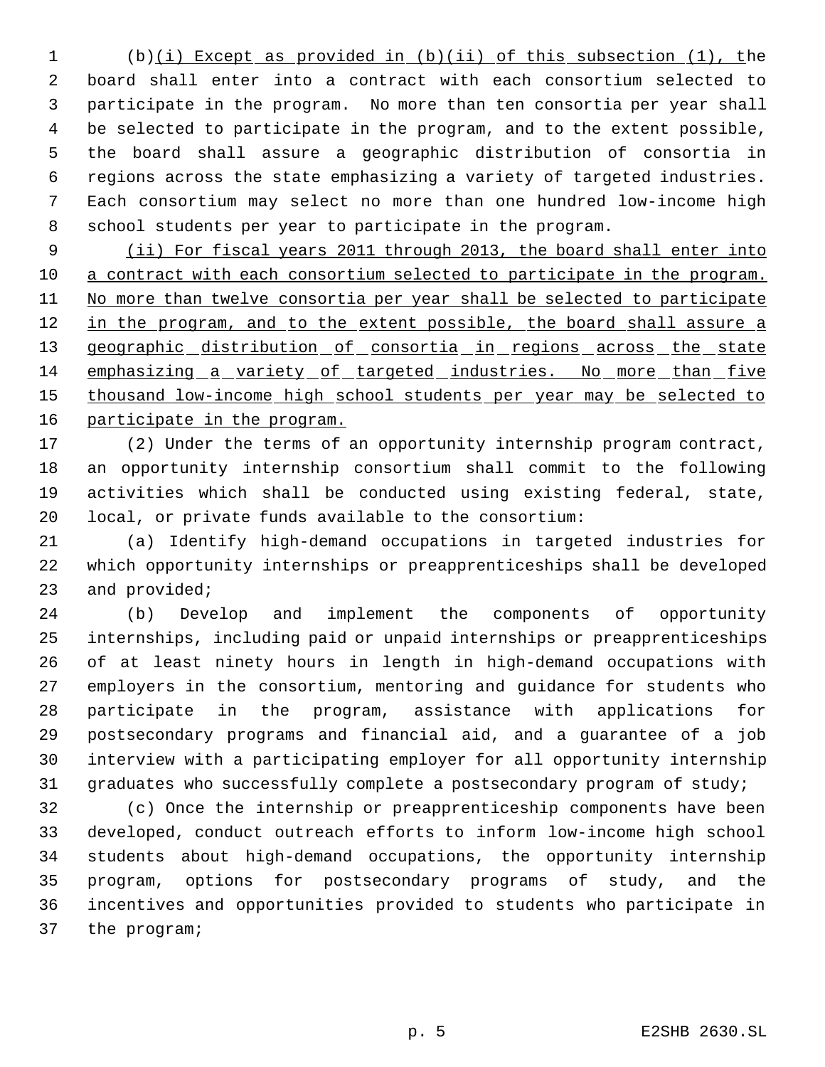(b)(i) Except as provided in (b)(ii) of this subsection (1), the board shall enter into a contract with each consortium selected to participate in the program. No more than ten consortia per year shall be selected to participate in the program, and to the extent possible, the board shall assure a geographic distribution of consortia in regions across the state emphasizing a variety of targeted industries. Each consortium may select no more than one hundred low-income high school students per year to participate in the program.

 (ii) For fiscal years 2011 through 2013, the board shall enter into a contract with each consortium selected to participate in the program. 11 No more than twelve consortia per year shall be selected to participate 12 in the program, and to the extent possible, the board shall assure a 13 geographic distribution of consortia in regions across the state emphasizing a variety of targeted industries. No more than five 15 thousand low-income high school students per year may be selected to participate in the program.

 (2) Under the terms of an opportunity internship program contract, an opportunity internship consortium shall commit to the following activities which shall be conducted using existing federal, state, local, or private funds available to the consortium:

 (a) Identify high-demand occupations in targeted industries for which opportunity internships or preapprenticeships shall be developed and provided;

 (b) Develop and implement the components of opportunity internships, including paid or unpaid internships or preapprenticeships of at least ninety hours in length in high-demand occupations with employers in the consortium, mentoring and guidance for students who participate in the program, assistance with applications for postsecondary programs and financial aid, and a guarantee of a job interview with a participating employer for all opportunity internship graduates who successfully complete a postsecondary program of study;

 (c) Once the internship or preapprenticeship components have been developed, conduct outreach efforts to inform low-income high school students about high-demand occupations, the opportunity internship program, options for postsecondary programs of study, and the incentives and opportunities provided to students who participate in the program;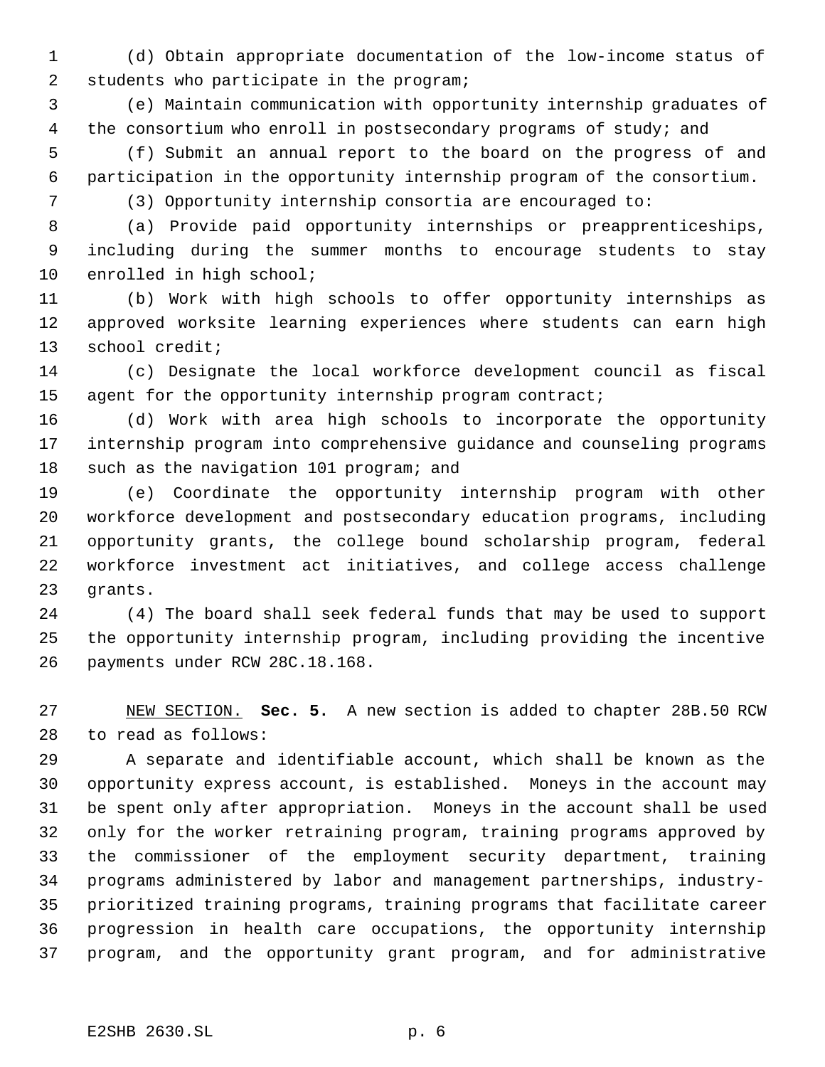(d) Obtain appropriate documentation of the low-income status of students who participate in the program;

 (e) Maintain communication with opportunity internship graduates of 4 the consortium who enroll in postsecondary programs of study; and

 (f) Submit an annual report to the board on the progress of and participation in the opportunity internship program of the consortium.

(3) Opportunity internship consortia are encouraged to:

 (a) Provide paid opportunity internships or preapprenticeships, including during the summer months to encourage students to stay enrolled in high school;

 (b) Work with high schools to offer opportunity internships as approved worksite learning experiences where students can earn high school credit;

 (c) Designate the local workforce development council as fiscal 15 agent for the opportunity internship program contract;

 (d) Work with area high schools to incorporate the opportunity internship program into comprehensive guidance and counseling programs 18 such as the navigation 101 program; and

 (e) Coordinate the opportunity internship program with other workforce development and postsecondary education programs, including opportunity grants, the college bound scholarship program, federal workforce investment act initiatives, and college access challenge grants.

 (4) The board shall seek federal funds that may be used to support the opportunity internship program, including providing the incentive payments under RCW 28C.18.168.

 NEW SECTION. **Sec. 5.** A new section is added to chapter 28B.50 RCW to read as follows:

 A separate and identifiable account, which shall be known as the opportunity express account, is established. Moneys in the account may be spent only after appropriation. Moneys in the account shall be used only for the worker retraining program, training programs approved by the commissioner of the employment security department, training programs administered by labor and management partnerships, industry- prioritized training programs, training programs that facilitate career progression in health care occupations, the opportunity internship program, and the opportunity grant program, and for administrative